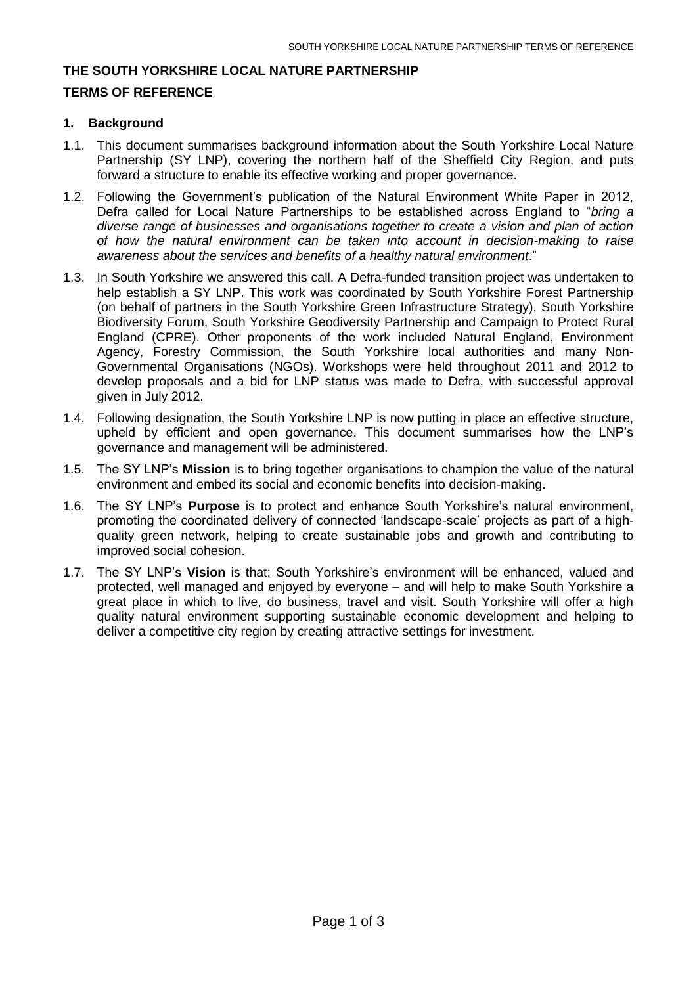### **THE SOUTH YORKSHIRE LOCAL NATURE PARTNERSHIP**

#### **TERMS OF REFERENCE**

### **1. Background**

- 1.1. This document summarises background information about the South Yorkshire Local Nature Partnership (SY LNP), covering the northern half of the Sheffield City Region, and puts forward a structure to enable its effective working and proper governance.
- 1.2. Following the Government's publication of the Natural Environment White Paper in 2012, Defra called for Local Nature Partnerships to be established across England to "*bring a diverse range of businesses and organisations together to create a vision and plan of action of how the natural environment can be taken into account in decision-making to raise awareness about the services and benefits of a healthy natural environment*."
- 1.3. In South Yorkshire we answered this call. A Defra-funded transition project was undertaken to help establish a SY LNP. This work was coordinated by South Yorkshire Forest Partnership (on behalf of partners in the South Yorkshire Green Infrastructure Strategy), South Yorkshire Biodiversity Forum, South Yorkshire Geodiversity Partnership and Campaign to Protect Rural England (CPRE). Other proponents of the work included Natural England, Environment Agency, Forestry Commission, the South Yorkshire local authorities and many Non-Governmental Organisations (NGOs). Workshops were held throughout 2011 and 2012 to develop proposals and a bid for LNP status was made to Defra, with successful approval given in July 2012.
- 1.4. Following designation, the South Yorkshire LNP is now putting in place an effective structure, upheld by efficient and open governance. This document summarises how the LNP's governance and management will be administered.
- 1.5. The SY LNP's **Mission** is to bring together organisations to champion the value of the natural environment and embed its social and economic benefits into decision-making.
- 1.6. The SY LNP's **Purpose** is to protect and enhance South Yorkshire's natural environment, promoting the coordinated delivery of connected 'landscape-scale' projects as part of a highquality green network, helping to create sustainable jobs and growth and contributing to improved social cohesion.
- 1.7. The SY LNP's **Vision** is that: South Yorkshire's environment will be enhanced, valued and protected, well managed and enjoyed by everyone – and will help to make South Yorkshire a great place in which to live, do business, travel and visit. South Yorkshire will offer a high quality natural environment supporting sustainable economic development and helping to deliver a competitive city region by creating attractive settings for investment.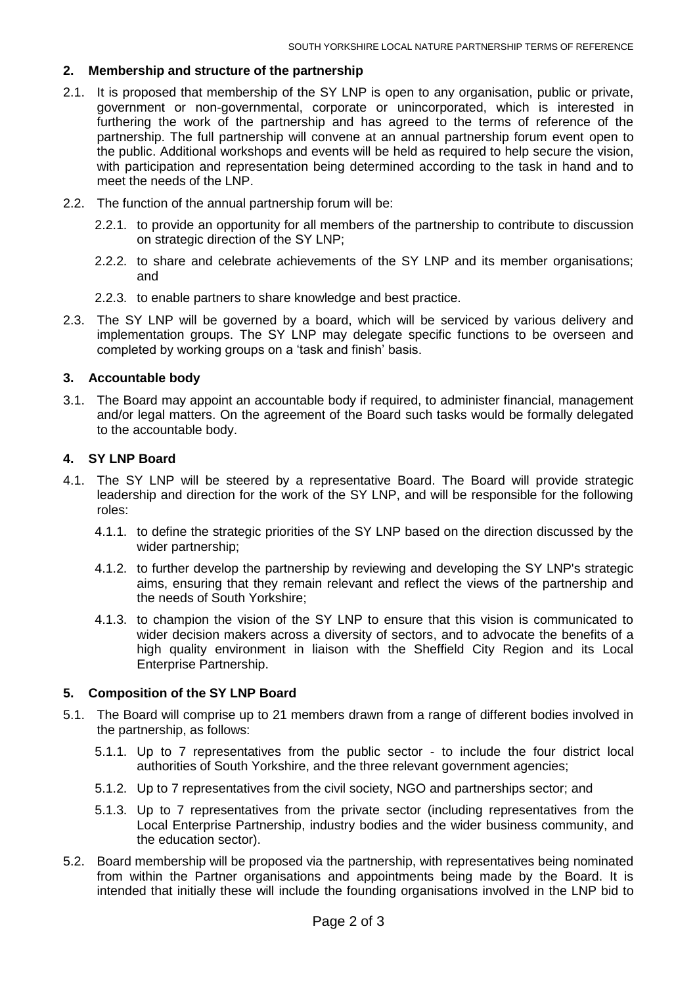## **2. Membership and structure of the partnership**

- 2.1. It is proposed that membership of the SY LNP is open to any organisation, public or private, government or non-governmental, corporate or unincorporated, which is interested in furthering the work of the partnership and has agreed to the terms of reference of the partnership. The full partnership will convene at an annual partnership forum event open to the public. Additional workshops and events will be held as required to help secure the vision, with participation and representation being determined according to the task in hand and to meet the needs of the LNP.
- 2.2. The function of the annual partnership forum will be:
	- 2.2.1. to provide an opportunity for all members of the partnership to contribute to discussion on strategic direction of the SY LNP;
	- 2.2.2. to share and celebrate achievements of the SY LNP and its member organisations; and
	- 2.2.3. to enable partners to share knowledge and best practice.
- 2.3. The SY LNP will be governed by a board, which will be serviced by various delivery and implementation groups. The SY LNP may delegate specific functions to be overseen and completed by working groups on a 'task and finish' basis.

### **3. Accountable body**

3.1. The Board may appoint an accountable body if required, to administer financial, management and/or legal matters. On the agreement of the Board such tasks would be formally delegated to the accountable body.

### **4. SY LNP Board**

- 4.1. The SY LNP will be steered by a representative Board. The Board will provide strategic leadership and direction for the work of the SY LNP, and will be responsible for the following roles:
	- 4.1.1. to define the strategic priorities of the SY LNP based on the direction discussed by the wider partnership;
	- 4.1.2. to further develop the partnership by reviewing and developing the SY LNP's strategic aims, ensuring that they remain relevant and reflect the views of the partnership and the needs of South Yorkshire;
	- 4.1.3. to champion the vision of the SY LNP to ensure that this vision is communicated to wider decision makers across a diversity of sectors, and to advocate the benefits of a high quality environment in liaison with the Sheffield City Region and its Local Enterprise Partnership.

## **5. Composition of the SY LNP Board**

- 5.1. The Board will comprise up to 21 members drawn from a range of different bodies involved in the partnership, as follows:
	- 5.1.1. Up to 7 representatives from the public sector to include the four district local authorities of South Yorkshire, and the three relevant government agencies;
	- 5.1.2. Up to 7 representatives from the civil society, NGO and partnerships sector; and
	- 5.1.3. Up to 7 representatives from the private sector (including representatives from the Local Enterprise Partnership, industry bodies and the wider business community, and the education sector).
- 5.2. Board membership will be proposed via the partnership, with representatives being nominated from within the Partner organisations and appointments being made by the Board. It is intended that initially these will include the founding organisations involved in the LNP bid to